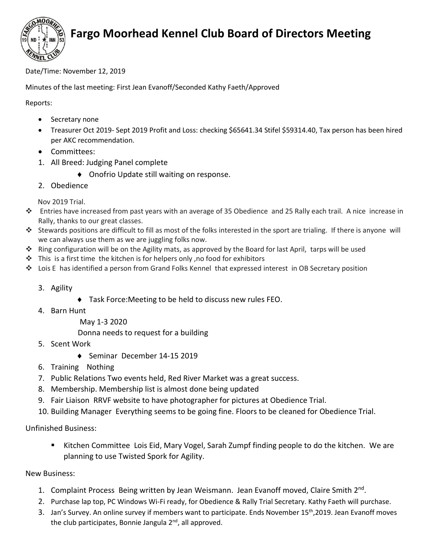

## **Fargo Moorhead Kennel Club Board of Directors Meeting**

Date/Time: November 12, 2019

Minutes of the last meeting: First Jean Evanoff/Seconded Kathy Faeth/Approved

Reports:

- Secretary none
- Treasurer Oct 2019- Sept 2019 Profit and Loss: checking \$65641.34 Stifel \$59314.40, Tax person has been hired per AKC recommendation.
- Committees:
- 1. All Breed: Judging Panel complete
	- Onofrio Update still waiting on response.
- 2. Obedience

Nov 2019 Trial.

- ❖ Entries have increased from past years with an average of 35 Obedience and 25 Rally each trail. A nice increase in Rally, thanks to our great classes.
- ❖ Stewards positions are difficult to fill as most of the folks interested in the sport are trialing. If there is anyone will we can always use them as we are juggling folks now.
- ❖ Ring configuration will be on the Agility mats, as approved by the Board for last April, tarps will be used
- $\clubsuit$  This is a first time the kitchen is for helpers only, no food for exhibitors
- ❖ Lois E has identified a person from Grand Folks Kennel that expressed interest in OB Secretary position
	- 3. Agility
- Task Force:Meeting to be held to discuss new rules FEO.
- 4. Barn Hunt
	- May 1-3 2020

Donna needs to request for a building

- 5. Scent Work
	- ◆ Seminar December 14-15 2019
- 6. Training Nothing
- 7. Public Relations Two events held, Red River Market was a great success.
- 8. Membership. Membership list is almost done being updated
- 9. Fair Liaison RRVF website to have photographer for pictures at Obedience Trial.
- 10. Building Manager Everything seems to be going fine. Floors to be cleaned for Obedience Trial.

Unfinished Business:

■ Kitchen Committee Lois Eid, Mary Vogel, Sarah Zumpf finding people to do the kitchen. We are planning to use Twisted Spork for Agility.

New Business:

- 1. Complaint Process Being written by Jean Weismann. Jean Evanoff moved, Claire Smith 2<sup>nd</sup>.
- 2. Purchase lap top, PC Windows Wi-Fi ready, for Obedience & Rally Trial Secretary. Kathy Faeth will purchase.
- 3. Jan's Survey. An online survey if members want to participate. Ends November 15th,2019. Jean Evanoff moves the club participates, Bonnie Jangula 2<sup>nd</sup>, all approved.